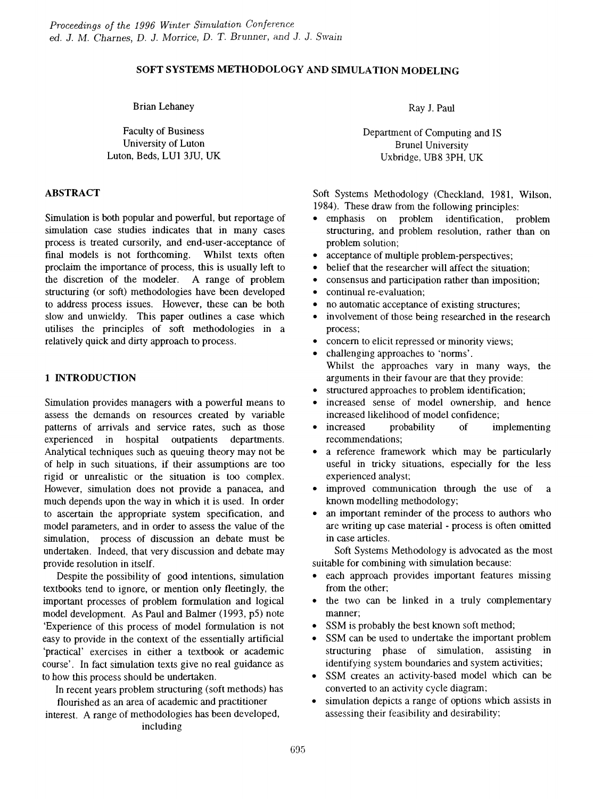# SOFT SYSTEMS METHODOLOGY AND SIMULATION MODELING

Brian Lehaney

Faculty of Business University of Luton Luton, Beds, LUI *3m,* UK

## ABSTRACT

Simulation is both popular and powerful, but reportage of simulation case studies indicates that in many cases process is treated cursorily, and end-user-acceptance of final models is not forthcoming. Whilst texts often proclaim the importance of process, this is usually left to the discretion of the modeler. A range of problem structuring (or soft) methodologies have been developed to address process issues. However, these can be both slow and unwieldy. This paper outlines a case which utilises the principles of soft methodologies in a relatively quick and dirty approach to process.

## 1 INTRODUCTION

Simulation provides managers with a powerful means to assess the demands on resources created by variable patterns of arrivals and service rates, such as those experienced in hospital outpatients departments. Analytical techniques such as queuing theory may not be of help in such situations, if their assumptions are too rigid or unrealistic or the situation is too complex. However, simulation does not provide a panacea, and much depends upon the way in which it is used. In order to ascertain the appropriate system specification, and model parameters, and in order to assess the value of the simulation, process of discussion an debate must be undertaken. Indeed, that very discussion and debate may provide resolution in itself.

Despite the possibility of good intentions, simulation textbooks tend to ignore, or mention only fleetingly, the important processes of problem formulation and logical model development. As Paul and Balmer (1993, p5) note 'Experience of this process of model formulation is not easy to provide in the context of the essentially artificial 'practical' exercises in either a textbook or academic course'. In fact simulation texts give no real guidance as to how this process should be undertaken.

In recent years problem structuring (soft methods) has flourished as an area of academic and practitioner

interest. A range of methodologies has been developed, including

Ray 1. Paul

Department of Computing and IS BruneI University Uxbridge, UB8 3PH, UK

Soft Systems Methodology (Checkland, 1981, Wilson, 1984). These draw from the following principles:

- emphasis on problem identification, problem structuring, and problem resolution, rather than on problem solution;
- acceptance of multiple problem-perspectives;
- belief that the researcher will affect the situation;<br>• consensus and participation rather than imposition
- consensus and participation rather than imposition;
- continual re-evaluation;
- no automatic acceptance of existing structures;
- involvement of those being researched in the research process;
- concern to elicit repressed or minority views;
- challenging approaches to 'norms'. Whilst the approaches vary in many ways, the arguments in their favour are that they provide:
- structured approaches to problem identification;
- increased sense of model ownership, and hence increased likelihood of model confidence;
- increased probability of implementing recommendations;
- a reference framework which may be particularly useful in tricky situations, especially for the less experienced analyst;
- improved communication through the use of a known modelling methodology;
- an important reminder of the process to authors who are writing up case material - process is often omitted in case articles.

Soft Systems Methodology is advocated as the most suitable for combining with simulation because:

- each approach provides important features missing from the other;
- the two can be linked in a truly complementary manner;
- SSM is probably the best known soft method;
- SSM can be used to undertake the important problem structuring phase of simulation, assisting in identifying system boundaries and system activities;
- SSM creates an activity-based model which can be converted to an activity cycle diagram;
- simulation depicts a range of options which assists in assessing their feasibility and desirability;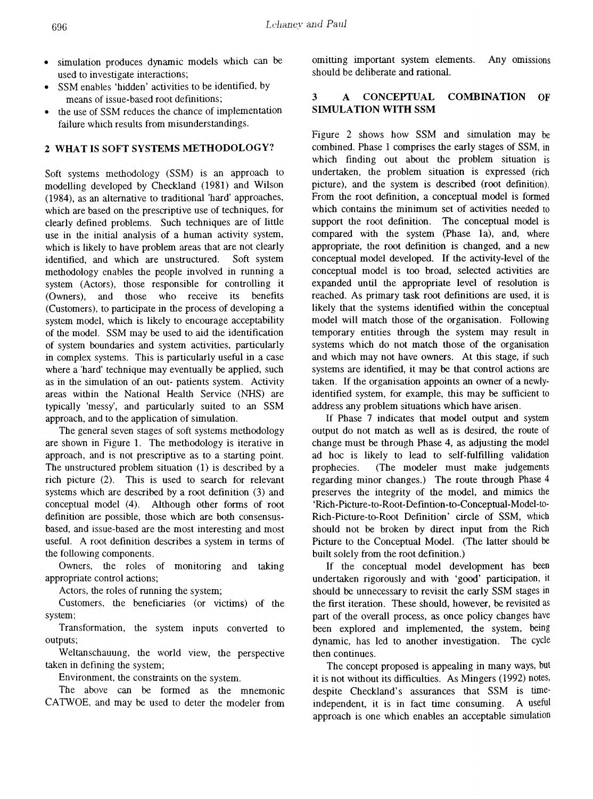- simulation produces dynamic models which can be used to investigate interactions;
- SSM enables 'hidden' activities to be identified, by means of issue-based root definitions;
- the use of SSM reduces the chance of implementation failure which results from misunderstandings.

### 2 WHAT IS SOFT SYSTEMS METHODOLOGY?

Soft systems methodology (SSM) is an approach to modelling developed by Checkland (1981) and Wilson (1984), as an alternative to traditional 'hard' approaches, which are based on the prescriptive use of techniques, for clearly defined problems. Such techniques are of little use in the initial analysis of a human activity system, which is likely to have problem areas that are not clearly identified, and which are unstructured. Soft system methodology enables the people involved in running a system (Actors), those responsible for controlling it (Owners), and those who receive its benefits (Customers), to participate in the process of developing a system model, which is likely to encourage acceptability of the model. SSM may be used to aid the identification of system boundaries and system activities, particularly in complex systems. This is particularly useful in a case where a 'hard' technique may eventually be applied, such as in the simulation of an out- patients system. Activity areas within the National Health Service (NHS) are typically 'messy', and particularly suited to an SSM approach, and to the application of simulation.

The general seven stages of soft systems methodology are shown in Figure 1. The methodology is iterative in approach, and is not prescriptive as to a starting point. The unstructured problem situation (1) is described by a rich picture (2). This is used to search for relevant systems which are described by a root definition (3) and conceptual model (4). Although other forms of toot definition are possible, those which are both consensusbased, and issue-based are the most interesting and most useful. A root definition describes a system in terms of the following components.

Owners, the roles of monitoring and taking appropriate control actions;

Actors, the roles of running the system;

Customers, the beneficiaries (or victims) of the system;

Transformation, the system inputs converted to outputs;

Weltanschauung, the world view, the perspective taken in defining the system;

Environment, the constraints on the system.

The above can be formed as the mnemonic CATWOE, and may be used to deter the modeler from

omitting important system elements. Any omissions should be deliberate and rational.

# 3 A CONCEPTUAL COMBINATION OF SIMULATION WITH SSM

Figure 2 shows how SSM and simulation may be combined. Phase 1 comprises the early stages of SSM, in which finding out about the problem situation is undertaken, the problem situation is expressed (rich picture), and the system is described (root definition). From the root definition, a conceptual model is formed which contains the minimum set of activities needed to support the root definition. The conceptual model is compared with the system (Phase 1a), and, where appropriate, the root definition is changed, and a new conceptual model developed. If the activity-level of the conceptual model is too broad, selected activities are expanded until the appropriate level of resolution is reached. As primary task root definitions are used, it is likely that the systems identified within the conceptual model will match those of the organisation. Following temporary entities through the system may result in systems which do not match those of the organisation and which may not have owners. At this stage, if such systems are identified, it may be that control actions are taken. If the organisation appoints an owner of a newlyidentified system, for example, this may be sufficient to address any problem situations which have arisen.

If Phase 7 indicates that model output and system output do not match as well as is desired, the route of change must be through Phase 4, as adjusting the model ad hoc is likely to lead to self-fulfilling validation prophecies. (The modeler must make judgements regarding minor changes.) The route through Phase 4 preserves the integrity of the model, and mimics the 'Rich-Picture-to-Root-Defrntion-to-Conceptual-Model-to-Rich-Picture-to-Root Definition' circle of SSM, which should not be broken by direct input from the Rich Picture to the Conceptual Model. (The latter should be built solely from the root definition.)

If the conceptual model development has been undertaken rigorously and with 'good' participation, it should be unnecessary to revisit the early SSM stages in the first iteration. These should, however, be revisited as part of the overall process, as once policy changes have been explored and implemented, the system, being dynamic, has led to another investigation. The cycle then continues.

The concept proposed is appealing in many ways, but it is not without its difficulties. As Mingers (1992) notes, despite Checkland's assurances that SSM is timeindependent, it is in fact time consuming. A useful approach is one which enables an acceptable simulation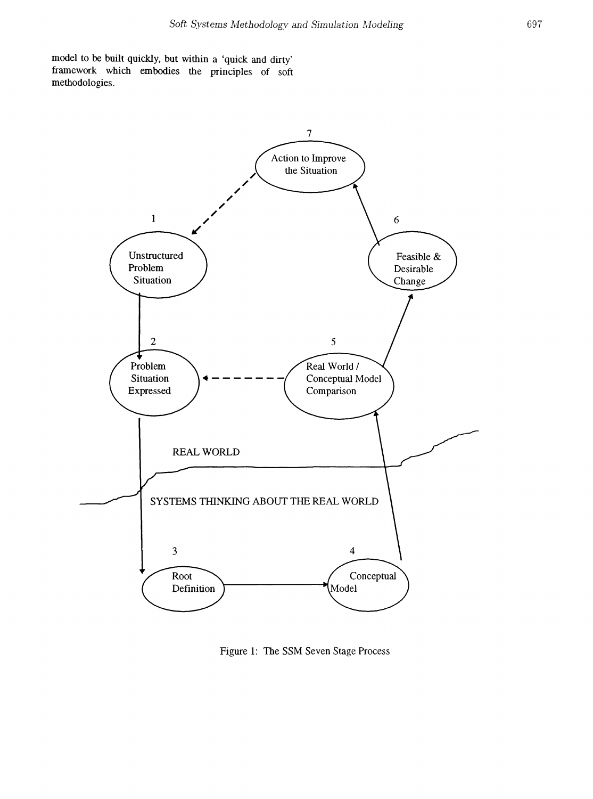model to be built quickly, but within a 'quick and dirty' framework which embodies the principles of soft methodologies.



Figure 1: The SSM Seven Stage Process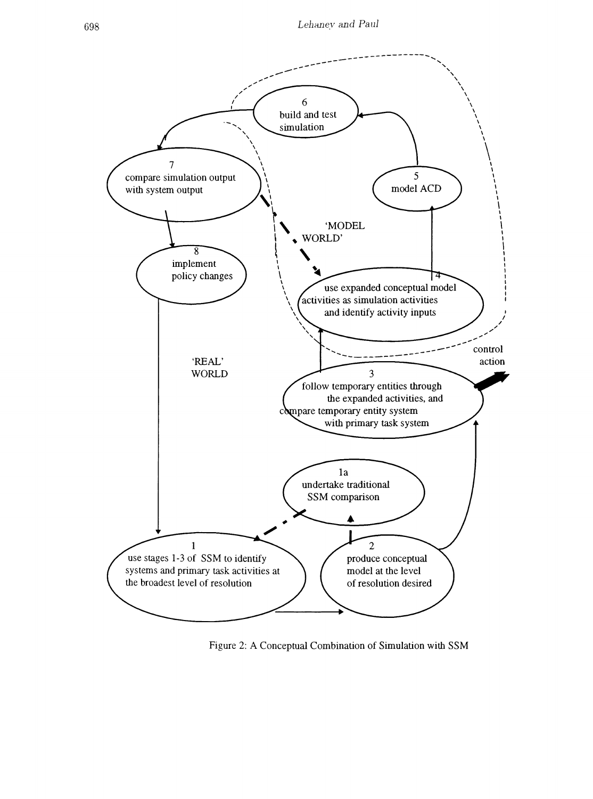

Figure 2: A Conceptual Combination of Simulation with SSM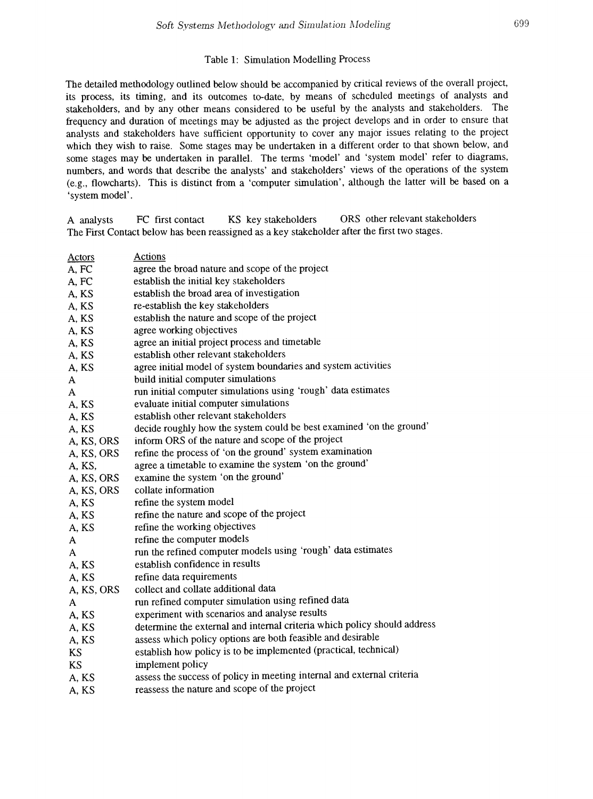#### Table 1: Simulation Modelling Process

The detailed methodology outlined below should be accompanied by critical reviews of the overall project, its process, its timing, and its outcomes to-date, by means of scheduled meetings of analysts and stakeholders, and by any other means considered to be useful by the analysts and stakeholders. The frequency and duration of meetings may be adjusted as the project develops and in order to ensure that analysts and stakeholders have sufficient opportunity to cover any major issues relating to the project which they wish to raise. Some stages may be undertaken in a different order to that shown below, and some stages may be undertaken in parallel. The terms 'model' and 'system model' refer to diagrams, numbers, and words that describe the analysts' and stakeholders' views of the operations of the system (e.g., flowcharts). This is distinct from a 'computer simulation', although the latter will be based on a 'system model'.

A analysts FC frrst contact KS key stakeholders ORS other relevant stakeholders The First Contact below has been reassigned as a key stakeholder after the first two stages.

| <b>Actors</b> | <b>Actions</b>                                                           |
|---------------|--------------------------------------------------------------------------|
| A, FC         | agree the broad nature and scope of the project                          |
| A, FC         | establish the initial key stakeholders                                   |
| A, KS         | establish the broad area of investigation                                |
| A, KS         | re-establish the key stakeholders                                        |
| A, KS         | establish the nature and scope of the project                            |
| A, KS         | agree working objectives                                                 |
| A, KS         | agree an initial project process and timetable                           |
| A, KS         | establish other relevant stakeholders                                    |
| A, KS         | agree initial model of system boundaries and system activities           |
| A             | build initial computer simulations                                       |
| A             | run initial computer simulations using 'rough' data estimates            |
| A, KS         | evaluate initial computer simulations                                    |
| A, KS         | establish other relevant stakeholders                                    |
| A, KS         | decide roughly how the system could be best examined 'on the ground'     |
| A, KS, ORS    | inform ORS of the nature and scope of the project                        |
| A, KS, ORS    | refine the process of 'on the ground' system examination                 |
| A, KS,        | agree a timetable to examine the system 'on the ground'                  |
| A, KS, ORS    | examine the system 'on the ground'                                       |
| A, KS, ORS    | collate information                                                      |
| A, KS         | refine the system model                                                  |
| A, KS         | refine the nature and scope of the project                               |
| A, KS         | refine the working objectives                                            |
| A             | refine the computer models                                               |
| A             | run the refined computer models using 'rough' data estimates             |
| A, KS         | establish confidence in results                                          |
| A, KS         | refine data requirements                                                 |
| A, KS, ORS    | collect and collate additional data                                      |
| A             | run refined computer simulation using refined data                       |
| A, KS         | experiment with scenarios and analyse results                            |
| A, KS         | determine the external and internal criteria which policy should address |
| A, KS         | assess which policy options are both feasible and desirable              |
| KS            | establish how policy is to be implemented (practical, technical)         |
| <b>KS</b>     | implement policy                                                         |
| A, KS         | assess the success of policy in meeting internal and external criteria   |
| A, KS         | reassess the nature and scope of the project                             |
|               |                                                                          |